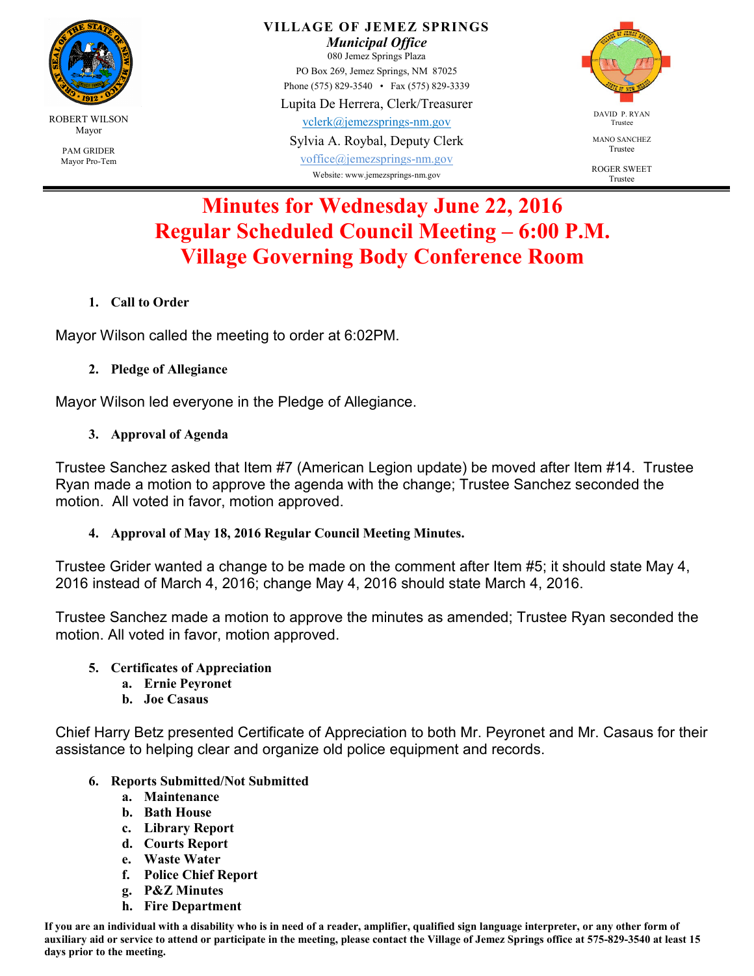

PAM GRIDER Mayor Pro-Tem

#### **VILLAGE OF JEMEZ SPRINGS**  *Municipal Office*  080 Jemez Springs Plaza PO Box 269, Jemez Springs, NM 87025 Phone (575) 829-3540 • Fax (575) 829-3339 Lupita De Herrera, Clerk/Treasurer vclerk@jemezsprings-nm.gov

Sylvia A. Roybal, Deputy Clerk

voffice@jemezsprings-nm.gov Website: www.jemezsprings-nm.gov



MANO SANCHEZ Trustee

ROGER SWEET Trustee

# **Minutes for Wednesday June 22, 2016 Regular Scheduled Council Meeting – 6:00 P.M. Village Governing Body Conference Room**

**1. Call to Order** 

Mayor Wilson called the meeting to order at 6:02PM.

**2. Pledge of Allegiance** 

Mayor Wilson led everyone in the Pledge of Allegiance.

**3. Approval of Agenda** 

Trustee Sanchez asked that Item #7 (American Legion update) be moved after Item #14. Trustee Ryan made a motion to approve the agenda with the change; Trustee Sanchez seconded the motion. All voted in favor, motion approved.

**4. Approval of May 18, 2016 Regular Council Meeting Minutes.** 

Trustee Grider wanted a change to be made on the comment after Item #5; it should state May 4, 2016 instead of March 4, 2016; change May 4, 2016 should state March 4, 2016.

Trustee Sanchez made a motion to approve the minutes as amended; Trustee Ryan seconded the motion. All voted in favor, motion approved.

- **5. Certificates of Appreciation** 
	- **a. Ernie Peyronet**
	- **b. Joe Casaus**

Chief Harry Betz presented Certificate of Appreciation to both Mr. Peyronet and Mr. Casaus for their assistance to helping clear and organize old police equipment and records.

- **6. Reports Submitted/Not Submitted** 
	- **a. Maintenance**
	- **b. Bath House**
	- **c. Library Report**
	- **d. Courts Report**
	- **e. Waste Water**
	- **f. Police Chief Report**
	- **g. P&Z Minutes**
	- **h. Fire Department**

**If you are an individual with a disability who is in need of a reader, amplifier, qualified sign language interpreter, or any other form of auxiliary aid or service to attend or participate in the meeting, please contact the Village of Jemez Springs office at 575-829-3540 at least 15 days prior to the meeting.**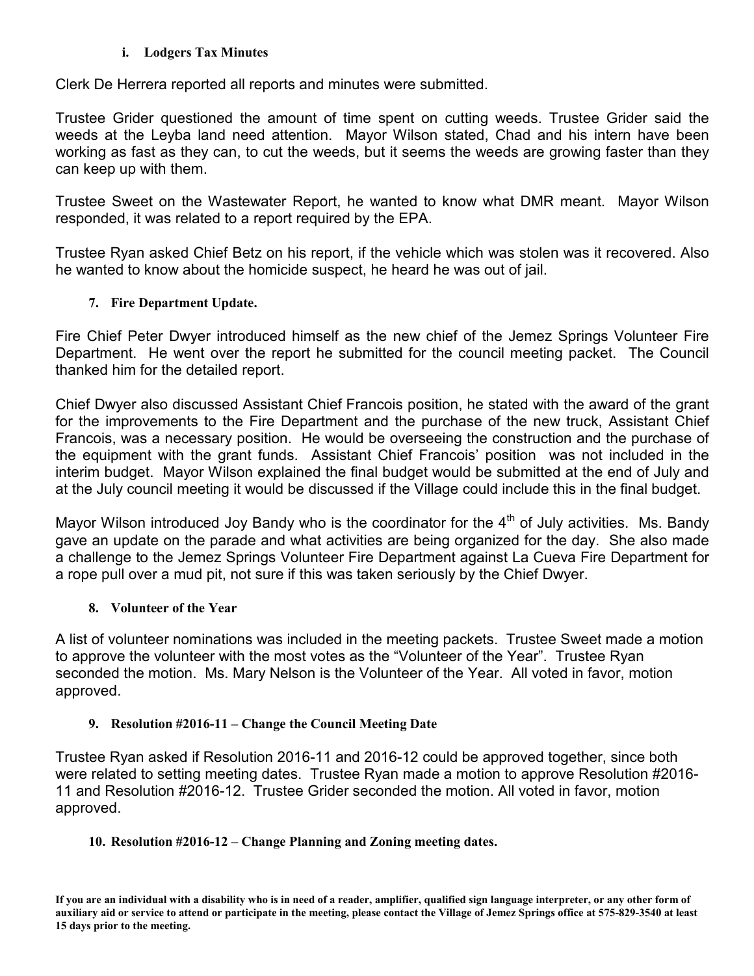### **i. Lodgers Tax Minutes**

Clerk De Herrera reported all reports and minutes were submitted.

Trustee Grider questioned the amount of time spent on cutting weeds. Trustee Grider said the weeds at the Leyba land need attention. Mayor Wilson stated, Chad and his intern have been working as fast as they can, to cut the weeds, but it seems the weeds are growing faster than they can keep up with them.

Trustee Sweet on the Wastewater Report, he wanted to know what DMR meant. Mayor Wilson responded, it was related to a report required by the EPA.

Trustee Ryan asked Chief Betz on his report, if the vehicle which was stolen was it recovered. Also he wanted to know about the homicide suspect, he heard he was out of jail.

# **7. Fire Department Update.**

Fire Chief Peter Dwyer introduced himself as the new chief of the Jemez Springs Volunteer Fire Department. He went over the report he submitted for the council meeting packet. The Council thanked him for the detailed report.

Chief Dwyer also discussed Assistant Chief Francois position, he stated with the award of the grant for the improvements to the Fire Department and the purchase of the new truck, Assistant Chief Francois, was a necessary position. He would be overseeing the construction and the purchase of the equipment with the grant funds. Assistant Chief Francois' position was not included in the interim budget. Mayor Wilson explained the final budget would be submitted at the end of July and at the July council meeting it would be discussed if the Village could include this in the final budget.

Mayor Wilson introduced Joy Bandy who is the coordinator for the  $4<sup>th</sup>$  of July activities. Ms. Bandy gave an update on the parade and what activities are being organized for the day. She also made a challenge to the Jemez Springs Volunteer Fire Department against La Cueva Fire Department for a rope pull over a mud pit, not sure if this was taken seriously by the Chief Dwyer.

# **8. Volunteer of the Year**

A list of volunteer nominations was included in the meeting packets. Trustee Sweet made a motion to approve the volunteer with the most votes as the "Volunteer of the Year". Trustee Ryan seconded the motion. Ms. Mary Nelson is the Volunteer of the Year. All voted in favor, motion approved.

# **9. Resolution #2016-11 – Change the Council Meeting Date**

Trustee Ryan asked if Resolution 2016-11 and 2016-12 could be approved together, since both were related to setting meeting dates. Trustee Ryan made a motion to approve Resolution #2016- 11 and Resolution #2016-12. Trustee Grider seconded the motion. All voted in favor, motion approved.

# **10. Resolution #2016-12 – Change Planning and Zoning meeting dates.**

**If you are an individual with a disability who is in need of a reader, amplifier, qualified sign language interpreter, or any other form of auxiliary aid or service to attend or participate in the meeting, please contact the Village of Jemez Springs office at 575-829-3540 at least 15 days prior to the meeting.**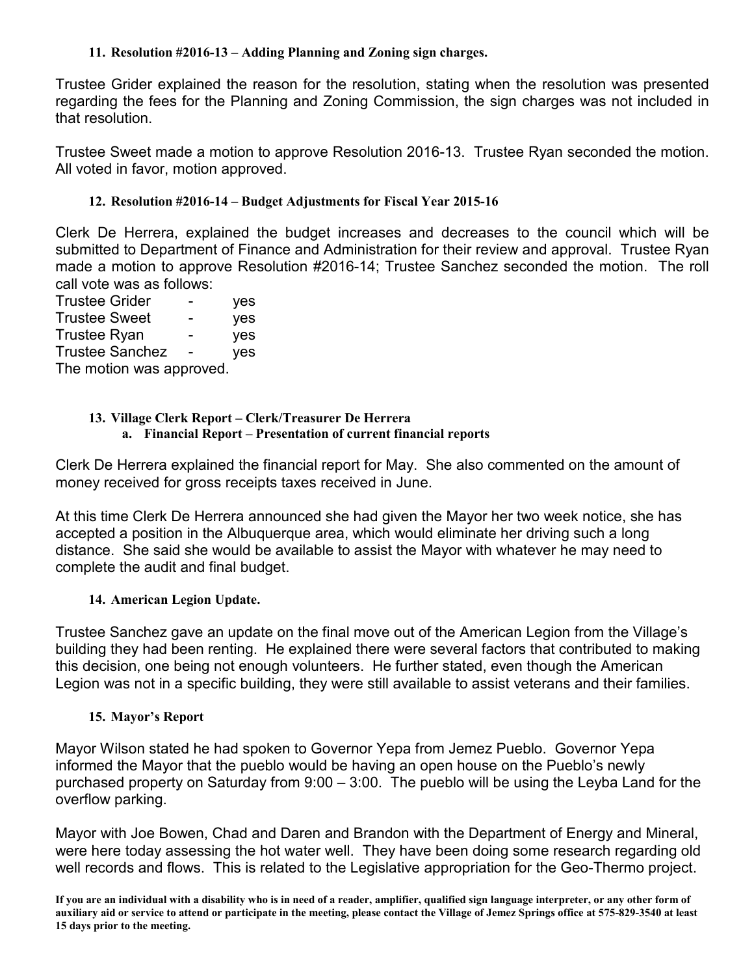### **11. Resolution #2016-13 – Adding Planning and Zoning sign charges.**

Trustee Grider explained the reason for the resolution, stating when the resolution was presented regarding the fees for the Planning and Zoning Commission, the sign charges was not included in that resolution.

Trustee Sweet made a motion to approve Resolution 2016-13. Trustee Ryan seconded the motion. All voted in favor, motion approved.

# **12. Resolution #2016-14 – Budget Adjustments for Fiscal Year 2015-16**

Clerk De Herrera, explained the budget increases and decreases to the council which will be submitted to Department of Finance and Administration for their review and approval. Trustee Ryan made a motion to approve Resolution #2016-14; Trustee Sanchez seconded the motion. The roll call vote was as follows:

Trustee Grider - yes Trustee Sweet - yes Trustee Ryan - yes Trustee Sanchez - yes The motion was approved.

# **13. Village Clerk Report – Clerk/Treasurer De Herrera**

# **a. Financial Report – Presentation of current financial reports**

Clerk De Herrera explained the financial report for May. She also commented on the amount of money received for gross receipts taxes received in June.

At this time Clerk De Herrera announced she had given the Mayor her two week notice, she has accepted a position in the Albuquerque area, which would eliminate her driving such a long distance. She said she would be available to assist the Mayor with whatever he may need to complete the audit and final budget.

# **14. American Legion Update.**

Trustee Sanchez gave an update on the final move out of the American Legion from the Village's building they had been renting. He explained there were several factors that contributed to making this decision, one being not enough volunteers. He further stated, even though the American Legion was not in a specific building, they were still available to assist veterans and their families.

# **15. Mayor's Report**

Mayor Wilson stated he had spoken to Governor Yepa from Jemez Pueblo. Governor Yepa informed the Mayor that the pueblo would be having an open house on the Pueblo's newly purchased property on Saturday from 9:00 – 3:00. The pueblo will be using the Leyba Land for the overflow parking.

Mayor with Joe Bowen, Chad and Daren and Brandon with the Department of Energy and Mineral, were here today assessing the hot water well. They have been doing some research regarding old well records and flows. This is related to the Legislative appropriation for the Geo-Thermo project.

**If you are an individual with a disability who is in need of a reader, amplifier, qualified sign language interpreter, or any other form of auxiliary aid or service to attend or participate in the meeting, please contact the Village of Jemez Springs office at 575-829-3540 at least 15 days prior to the meeting.**